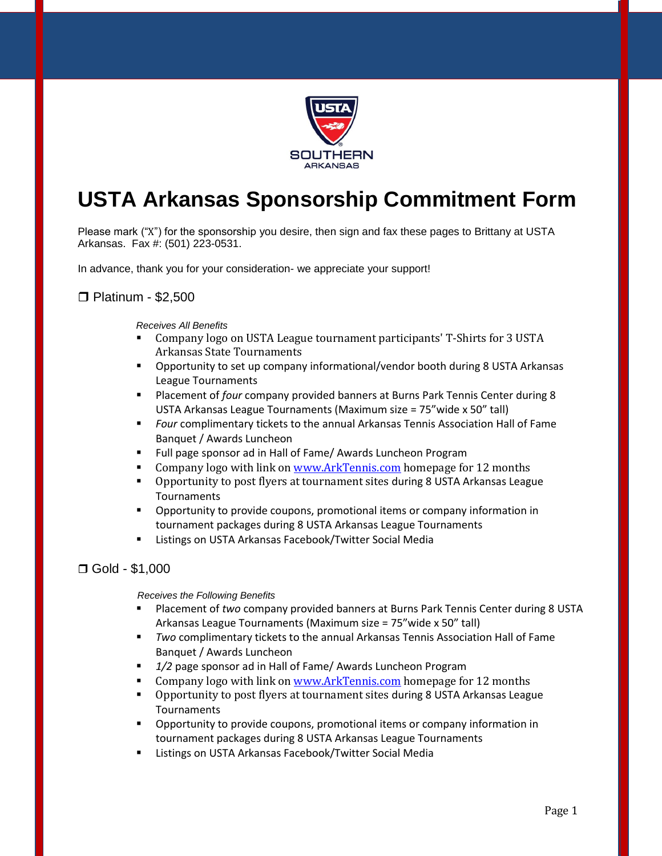

# **USTA Arkansas Sponsorship Commitment Form**

Please mark ("X") for the sponsorship you desire, then sign and fax these pages to Brittany at USTA Arkansas. Fax #: (501) 223-0531.

In advance, thank you for your consideration- we appreciate your support!

### □ Platinum - \$2,500

*Receives All Benefits*

- Company logo on USTA League tournament participants' T-Shirts for 3 USTA Arkansas State Tournaments
- Opportunity to set up company informational/vendor booth during 8 USTA Arkansas League Tournaments
- Placement of *four* company provided banners at Burns Park Tennis Center during 8 USTA Arkansas League Tournaments (Maximum size = 75"wide x 50" tall)
- *Four* complimentary tickets to the annual Arkansas Tennis Association Hall of Fame Banquet / Awards Luncheon
- **FULL page sponsor ad in Hall of Fame/ Awards Luncheon Program**
- Company logo with link on [www.ArkTennis.com](http://www.arktennis.com/) homepage for 12 months
- Opportunity to post flyers at tournament sites during 8 USTA Arkansas League **Tournaments**
- **•** Opportunity to provide coupons, promotional items or company information in tournament packages during 8 USTA Arkansas League Tournaments
- **E** Listings on USTA Arkansas Facebook/Twitter Social Media

## Gold - \$1,000

 *Receives the Following Benefits*

- Placement of *two* company provided banners at Burns Park Tennis Center during 8 USTA Arkansas League Tournaments (Maximum size = 75"wide x 50" tall)
- *Two* complimentary tickets to the annual Arkansas Tennis Association Hall of Fame Banquet / Awards Luncheon
- *1/2* page sponsor ad in Hall of Fame/ Awards Luncheon Program
- **Company logo with link on [www.ArkTennis.com](http://www.arktennis.com/) homepage for 12 months**
- **•** Opportunity to post flyers at tournament sites during 8 USTA Arkansas League **Tournaments**
- **•** Opportunity to provide coupons, promotional items or company information in tournament packages during 8 USTA Arkansas League Tournaments
- Listings on USTA Arkansas Facebook/Twitter Social Media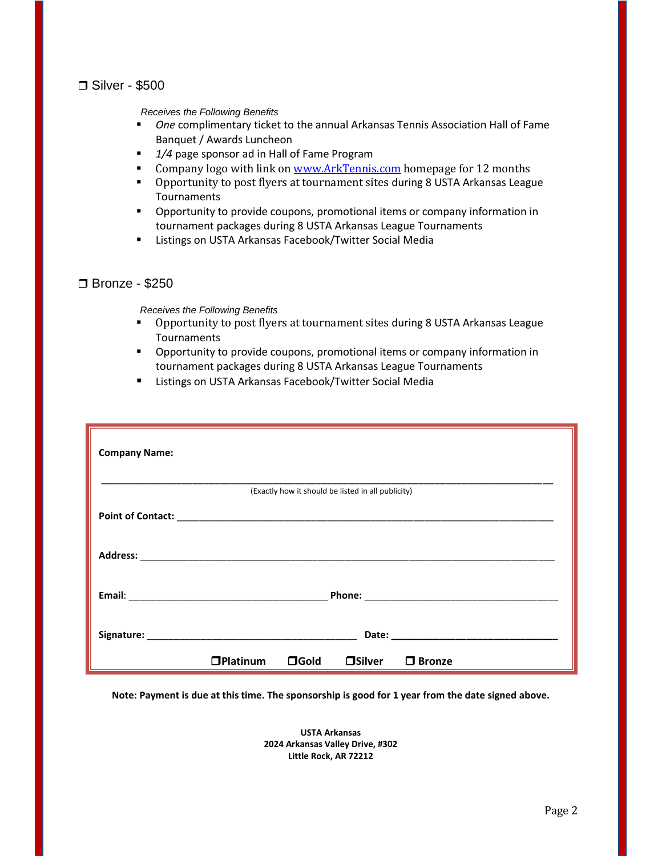## □ Silver - \$500

 *Receives the Following Benefits*

- *One* complimentary ticket to the annual Arkansas Tennis Association Hall of Fame Banquet / Awards Luncheon
- 1/4 page sponsor ad in Hall of Fame Program
- Company logo with link on [www.ArkTennis.com](http://www.arktennis.com/) homepage for 12 months
- **•** Opportunity to post flyers at tournament sites during 8 USTA Arkansas League Tournaments
- **•** Opportunity to provide coupons, promotional items or company information in tournament packages during 8 USTA Arkansas League Tournaments
- **E** Listings on USTA Arkansas Facebook/Twitter Social Media

### Bronze - \$250

 *Receives the Following Benefits*

- Opportunity to post flyers at tournament sites during 8 USTA Arkansas League Tournaments
- **•** Opportunity to provide coupons, promotional items or company information in tournament packages during 8 USTA Arkansas League Tournaments
- Listings on USTA Arkansas Facebook/Twitter Social Media

| <b>Company Name:</b> |              |                |                                                    |                                                                                                                                                                                                                                |
|----------------------|--------------|----------------|----------------------------------------------------|--------------------------------------------------------------------------------------------------------------------------------------------------------------------------------------------------------------------------------|
|                      |              |                | (Exactly how it should be listed in all publicity) |                                                                                                                                                                                                                                |
|                      |              |                |                                                    |                                                                                                                                                                                                                                |
|                      |              |                |                                                    |                                                                                                                                                                                                                                |
|                      |              |                |                                                    |                                                                                                                                                                                                                                |
|                      |              |                |                                                    | Date: the contract of the contract of the contract of the contract of the contract of the contract of the contract of the contract of the contract of the contract of the contract of the contract of the contract of the cont |
|                      | $D$ Platinum | $\square$ Gold | $\square$ Silver                                   | $\Box$ Bronze                                                                                                                                                                                                                  |

**Note: Payment is due at this time. The sponsorship is good for 1 year from the date signed above.**

**USTA Arkansas 2024 Arkansas Valley Drive, #302 Little Rock, AR 72212**